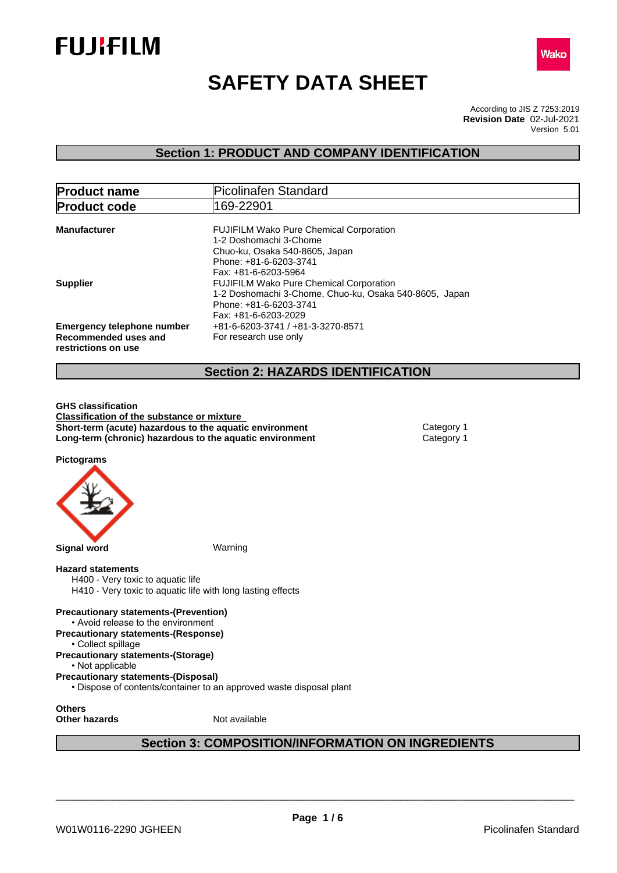



# **SAFETY DATA SHEET**

According to JIS Z 7253:2019 Version 5.01 **Revision Date** 02-Jul-2021

## **Section 1: PRODUCT AND COMPANY IDENTIFICATION**

| <b>Product name</b>                                                              | Picolinafen Standard                                                                                                                                         |
|----------------------------------------------------------------------------------|--------------------------------------------------------------------------------------------------------------------------------------------------------------|
| <b>Product code</b>                                                              | 169-22901                                                                                                                                                    |
| <b>Manufacturer</b>                                                              | <b>FUJIFILM Wako Pure Chemical Corporation</b><br>1-2 Doshomachi 3-Chome<br>Chuo-ku, Osaka 540-8605, Japan<br>Phone: +81-6-6203-3741<br>Fax: +81-6-6203-5964 |
| <b>Supplier</b>                                                                  | FUJIFILM Wako Pure Chemical Corporation<br>1-2 Doshomachi 3-Chome, Chuo-ku, Osaka 540-8605, Japan<br>Phone: +81-6-6203-3741<br>Fax: +81-6-6203-2029          |
| <b>Emergency telephone number</b><br>Recommended uses and<br>restrictions on use | +81-6-6203-3741 / +81-3-3270-8571<br>For research use only                                                                                                   |
|                                                                                  | <b>Section 2: HAZARDS IDENTIFICATION</b>                                                                                                                     |

**GHS classification Classification of the substance or mixture Short-term (acute) hazardous to the aquatic environment** Category 1 **Long-term (chronic) hazardous to the aquatic environment** Category 1

**Pictograms**



## **Hazard statements**

H400 - Very toxic to aquatic life H410 - Very toxic to aquatic life with long lasting effects

**Precautionary statements-(Prevention)** • Avoid release to the environment **Precautionary statements-(Response)**

- Collect spillage
- **Precautionary statements-(Storage)**

• Not applicable

**Precautionary statements-(Disposal)**

• Dispose of contents/container to an approved waste disposal plant

**Others**

**Other hazards** Not available

## **Section 3: COMPOSITION/INFORMATION ON INGREDIENTS**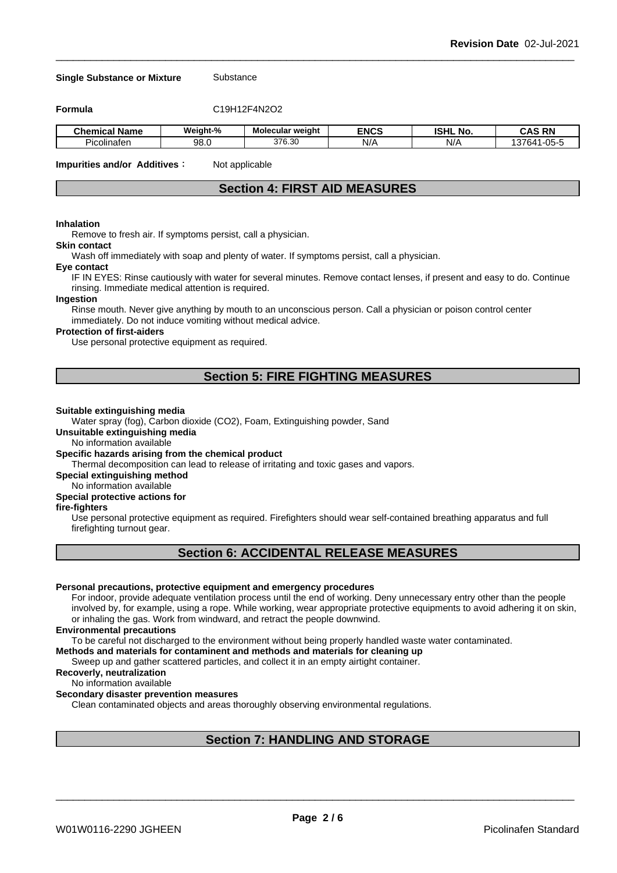#### **Single Substance or Mixture** Substance

**Formula** C19H12F4N2O2

| . .<br>l Name<br>Chemical | Weiaht-%   | Molecular weight | <b>ENCS</b>         | <b>ISHL</b><br>No. | <b>RN</b><br>ras                                    |
|---------------------------|------------|------------------|---------------------|--------------------|-----------------------------------------------------|
| <br>Picolinater           | QΩ<br>ອບ.ບ | 376.30           | N/F<br>$\mathbf{u}$ | N/                 | $\sim$ $-$<br>$\sim$ $\sim$<br>7C 1<br><br>`-<br>ບບ |

**Impurities and/or Additives**: Not applicable

## **Section 4: FIRST AID MEASURES**

## **Inhalation**

Remove to fresh air. If symptoms persist, call a physician.

## **Skin contact**

Wash off immediately with soap and plenty of water. If symptoms persist, calla physician.

#### **Eye contact**

IF IN EYES: Rinse cautiously with water for several minutes. Remove contact lenses, if present and easy to do. Continue rinsing. Immediate medical attention is required.

#### **Ingestion**

Rinse mouth. Never give anything by mouth to an unconscious person. Call a physician or poison control center immediately. Do not induce vomiting without medical advice.

#### **Protection of first-aiders**

Use personal protective equipment as required.

## **Section 5: FIRE FIGHTING MEASURES**

#### **Suitable extinguishing media**

Water spray (fog), Carbon dioxide (CO2), Foam, Extinguishing powder, Sand

**Unsuitable extinguishing media**

No information available

#### **Specific hazards arising from the chemical product**

Thermal decomposition can lead to release of irritating and toxic gases and vapors.

**Special extinguishing method**

## No information available

## **Special protective actions for**

## **fire-fighters**

Use personal protective equipment as required.Firefighters should wear self-contained breathing apparatus and full firefighting turnout gear.

## **Section 6: ACCIDENTAL RELEASE MEASURES**

## **Personal precautions, protective equipment and emergency procedures**

For indoor, provide adequate ventilation process until the end of working. Deny unnecessary entry other than the people involved by, for example, using a rope. While working, wear appropriate protective equipments to avoid adhering it on skin, or inhaling the gas. Work from windward, and retract the people downwind.

#### **Environmental precautions**

To be careful not discharged to the environment without being properly handled waste water contaminated.

## **Methods and materials for contaminent and methods and materials for cleaning up**

Sweep up and gather scattered particles, and collect it in an empty airtight container.

#### **Recoverly, neutralization**

#### No information available

#### **Secondary disaster prevention measures**

Clean contaminated objects and areas thoroughly observing environmental regulations.

## **Section 7: HANDLING AND STORAGE**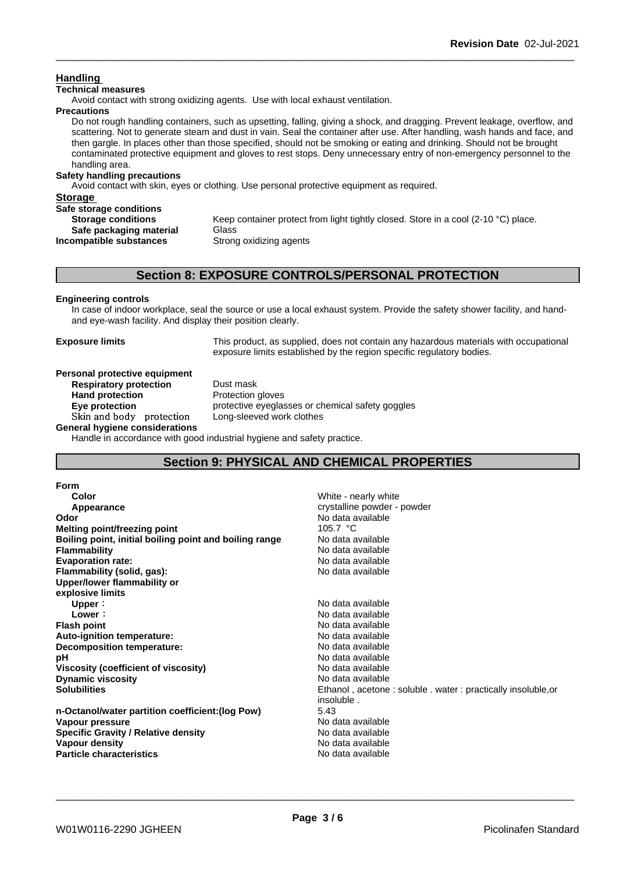## **Handling**

## **Technical measures**

Avoid contact with strong oxidizing agents. Use with local exhaust ventilation.

## **Precautions**

Do not rough handling containers, such as upsetting, falling, giving a shock, and dragging. Prevent leakage, overflow, and scattering. Not to generate steam and dust in vain. Seal the container after use. After handling, wash hands and face, and then gargle. In places other than those specified, should not be smoking or eating and drinking. Should not be brought contaminated protective equipment and gloves to rest stops. Deny unnecessary entry of non-emergency personnel to the handling area.

## **Safety handling precautions**

Avoid contact with skin, eyes or clothing. Use personal protective equipment as required.

| <b>Storage</b>            |                                                                                    |
|---------------------------|------------------------------------------------------------------------------------|
| Safe storage conditions   |                                                                                    |
| <b>Storage conditions</b> | Keep container protect from light tightly closed. Store in a cool (2-10 °C) place. |
| Safe packaging material   | Glass                                                                              |
| Incompatible substances   | Strong oxidizing agents                                                            |
|                           |                                                                                    |

## **Section 8: EXPOSURE CONTROLS/PERSONAL PROTECTION**

## **Engineering controls**

In case of indoor workplace, seal the source or use a local exhaust system. Provide the safety shower facility, and handand eye-wash facility. And display their position clearly.

**Exposure limits** This product, as supplied, does not contain any hazardous materials with occupational exposure limits established by the region specific regulatory bodies.

#### **Personal protective equipment**<br>**Respiratory protection** Dust mask **Respiratory protection**

**Hand protection** Protection gloves **Eye protection Eye protective** eyeglasses or chemical safety goggles **Skinandbody protection** Long-sleeved work clothes

**General hygiene considerations**

Handle in accordance with good industrial hygiene and safety practice.

## **Section 9: PHYSICAL AND CHEMICAL PROPERTIES**

#### **Form**

| Color                                                  | White - nearly white                                        |
|--------------------------------------------------------|-------------------------------------------------------------|
| Appearance                                             | crystalline powder - powder                                 |
| Odor                                                   | No data available                                           |
| Melting point/freezing point                           | 105.7 $\degree$ C                                           |
| Boiling point, initial boiling point and boiling range | No data available                                           |
| <b>Flammability</b>                                    | No data available                                           |
| <b>Evaporation rate:</b>                               | No data available                                           |
| Flammability (solid, gas):                             | No data available                                           |
| Upper/lower flammability or                            |                                                             |
| explosive limits                                       |                                                             |
| Upper:                                                 | No data available                                           |
| Lower:                                                 | No data available                                           |
| <b>Flash point</b>                                     | No data available                                           |
| Auto-ignition temperature:                             | No data available                                           |
| Decomposition temperature:                             | No data available                                           |
| рH                                                     | No data available                                           |
| Viscosity (coefficient of viscosity)                   | No data available                                           |
| <b>Dynamic viscosity</b>                               | No data available                                           |
| <b>Solubilities</b>                                    | Ethanol, acetone: soluble. water: practically insoluble, or |
|                                                        | insoluble.                                                  |
| n-Octanol/water partition coefficient: (log Pow)       | 5.43                                                        |
| Vapour pressure                                        | No data available                                           |
| <b>Specific Gravity / Relative density</b>             | No data available                                           |
| Vapour density                                         | No data available                                           |
| <b>Particle characteristics</b>                        | No data available                                           |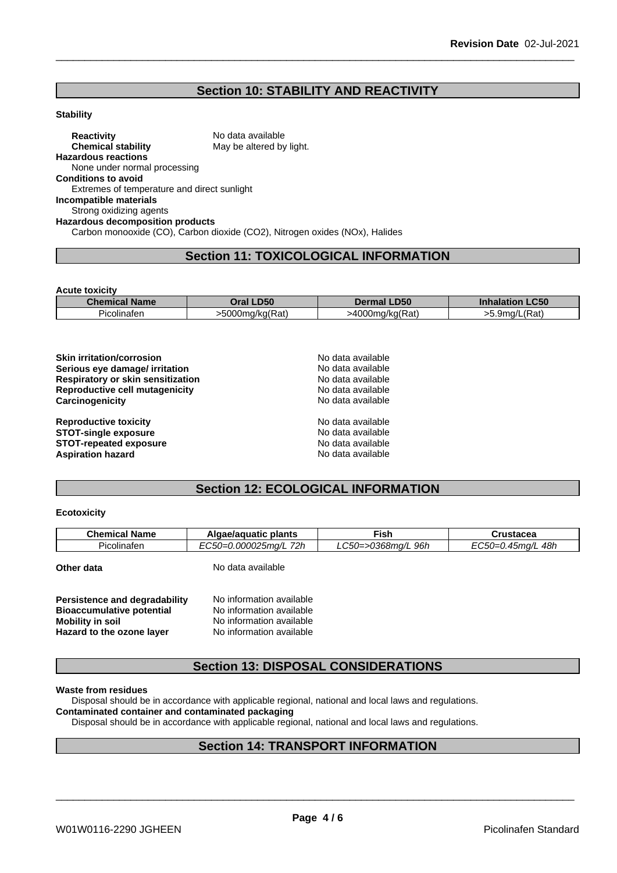## **Section 10: STABILITY AND REACTIVITY**

#### **Stability**

**Reactivity** No data available<br> **Chemical stability** May be altered by May be altered by light. **Hazardous reactions** None under normal processing **Conditions to avoid** Extremes of temperature and direct sunlight **Incompatible materials** Strong oxidizing agents **Hazardous decomposition products** Carbon monooxide (CO), Carbon dioxide (CO2), Nitrogen oxides (NOx), Halides

## **Section 11: TOXICOLOGICAL INFORMATION**

**Acute toxicity**

| <b>Thom</b><br>Name | <b>D50</b><br>יים ב<br>,,,,,, | I <sub>DE</sub><br>.Dɔu                  | C50<br>.nnaia  |
|---------------------|-------------------------------|------------------------------------------|----------------|
| Picolinaten         | -5000mg/kg(Rat)               | 1000<br>$\sqrt{2}$<br>…a/ka(Re*i<br>rai. | 'Rat.<br>.9ma/ |

| <b>Skin irritation/corrosion</b>  | No data available |  |  |
|-----------------------------------|-------------------|--|--|
| Serious eye damage/ irritation    | No data available |  |  |
| Respiratory or skin sensitization | No data available |  |  |
| Reproductive cell mutagenicity    | No data available |  |  |
| Carcinogenicity                   | No data available |  |  |
| <b>Reproductive toxicity</b>      | No data available |  |  |
| <b>STOT-single exposure</b>       | No data available |  |  |
| <b>STOT-repeated exposure</b>     | No data available |  |  |
| <b>Aspiration hazard</b>          | No data available |  |  |

## **Section 12: ECOLOGICAL INFORMATION**

#### **Ecotoxicity**

| . .<br>72h<br>48h<br>96h<br><b>OFO</b><br>0368ma/l•<br>J.000025ma/l<br>- -<br>.30=0.45ma/l<br>Picolinaten<br>$\sim$<br>$\equiv$ | <b>Chemical Name</b> | plants<br>Algae/aguatic | Fish | ∽rustacea |
|---------------------------------------------------------------------------------------------------------------------------------|----------------------|-------------------------|------|-----------|
|                                                                                                                                 |                      |                         |      |           |

**Other data** No data available

| Persistence and degradability    | No information available |
|----------------------------------|--------------------------|
| <b>Bioaccumulative potential</b> | No information available |
| Mobility in soil                 | No information available |
| Hazard to the ozone layer        | No information available |

## **Section 13: DISPOSAL CONSIDERATIONS**

**Waste from residues**

Disposal should be in accordance with applicable regional, national and local laws and regulations.

## **Contaminated container and contaminated packaging**

Disposal should be in accordance with applicable regional, national and local laws and regulations.

## **Section 14: TRANSPORT INFORMATION**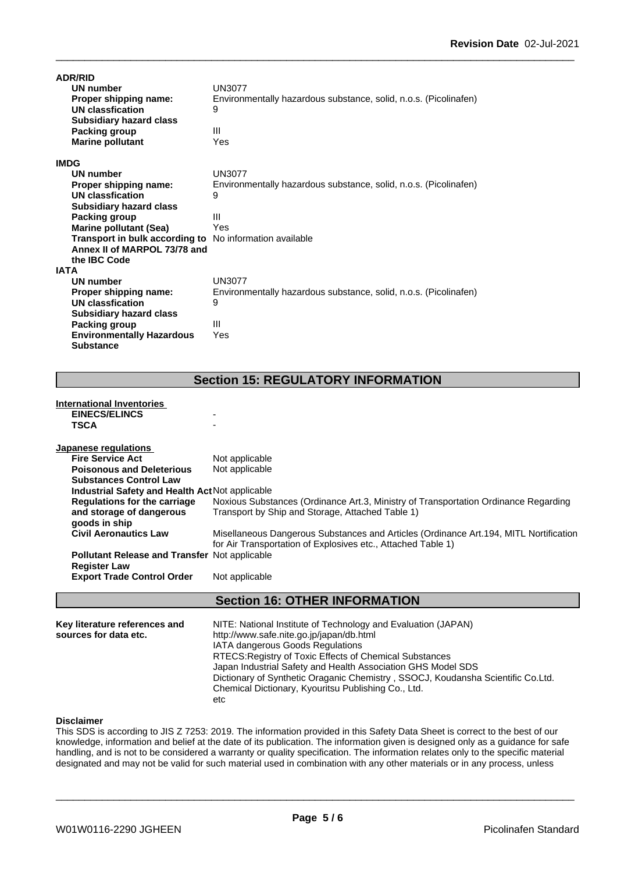| <b>ADR/RID</b>                                                 |                                                                  |
|----------------------------------------------------------------|------------------------------------------------------------------|
| UN number                                                      | UN3077                                                           |
| Proper shipping name:                                          | Environmentally hazardous substance, solid, n.o.s. (Picolinafen) |
| UN classfication                                               | 9                                                                |
| <b>Subsidiary hazard class</b>                                 |                                                                  |
| Packing group                                                  | Ш                                                                |
| <b>Marine pollutant</b>                                        | Yes                                                              |
| <b>IMDG</b>                                                    |                                                                  |
| UN number                                                      | <b>UN3077</b>                                                    |
| Proper shipping name:                                          | Environmentally hazardous substance, solid, n.o.s. (Picolinafen) |
| <b>UN classfication</b>                                        | 9                                                                |
| <b>Subsidiary hazard class</b>                                 |                                                                  |
| Packing group                                                  | Ш                                                                |
| <b>Marine pollutant (Sea)</b>                                  | Yes                                                              |
| <b>Transport in bulk according to</b> No information available |                                                                  |
| Annex II of MARPOL 73/78 and                                   |                                                                  |
| the IBC Code                                                   |                                                                  |
| <b>IATA</b>                                                    |                                                                  |
| <b>UN number</b>                                               | <b>UN3077</b>                                                    |
| Proper shipping name:                                          | Environmentally hazardous substance, solid, n.o.s. (Picolinafen) |
| UN classfication                                               | 9                                                                |
| <b>Subsidiary hazard class</b>                                 |                                                                  |
| Packing group                                                  | Ш                                                                |
| <b>Environmentally Hazardous</b>                               | Yes                                                              |
| <b>Substance</b>                                               |                                                                  |

## **Section 15: REGULATORY INFORMATION**

## **International Inventories EINECS/ELINCS TSCA** - **Japanese regulations Fire Service Act** Not applicable **Poisonous and Deleterious Substances Control Law** Not applicable **Industrial Safety and Health Act**Not applicable **Regulations for the carriage and storage of dangerous goods in ship** Noxious Substances (Ordinance Art.3, Ministry of Transportation Ordinance Regarding Transport by Ship and Storage, Attached Table 1) **Civil Aeronautics Law** Misellaneous Dangerous Substances and Articles (Ordinance Art.194, MITL Nortification for Air Transportation of Explosives etc., Attached Table 1) **Pollutant Release and Transfer** Not applicable **Register Law Export Trade Control Order** Not applicable **Section 16: OTHER INFORMATION**

| Key literature references and | NITE: National Institute of Technology and Evaluation (JAPAN)                   |
|-------------------------------|---------------------------------------------------------------------------------|
| sources for data etc.         | http://www.safe.nite.go.jp/japan/db.html                                        |
|                               | <b>IATA dangerous Goods Regulations</b>                                         |
|                               | RTECS: Registry of Toxic Effects of Chemical Substances                         |
|                               | Japan Industrial Safety and Health Association GHS Model SDS                    |
|                               | Dictionary of Synthetic Oraganic Chemistry, SSOCJ, Koudansha Scientific Co.Ltd. |
|                               | Chemical Dictionary, Kyouritsu Publishing Co., Ltd.                             |
|                               | etc                                                                             |

## **Disclaimer**

This SDS is according to JIS Z 7253: 2019. The information provided in this Safety Data Sheet is correct to the best of our knowledge, information and belief at the date of its publication. The information given is designed only as a guidance for safe handling, and is not to be considered a warranty or quality specification. The information relates only to the specific material designated and may not be valid for such material used in combination with any other materials or in any process, unless